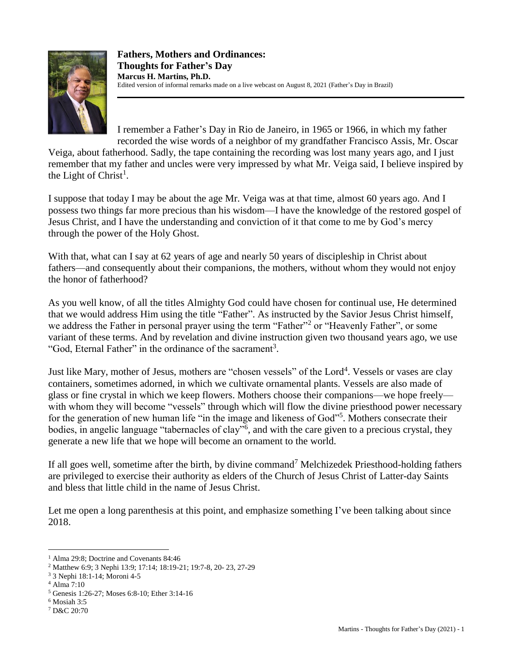

I remember a Father's Day in Rio de Janeiro, in 1965 or 1966, in which my father recorded the wise words of a neighbor of my grandfather Francisco Assis, Mr. Oscar

Veiga, about fatherhood. Sadly, the tape containing the recording was lost many years ago, and I just remember that my father and uncles were very impressed by what Mr. Veiga said, I believe inspired by the Light of Christ<sup>1</sup>.

I suppose that today I may be about the age Mr. Veiga was at that time, almost 60 years ago. And I possess two things far more precious than his wisdom—I have the knowledge of the restored gospel of Jesus Christ, and I have the understanding and conviction of it that come to me by God's mercy through the power of the Holy Ghost.

With that, what can I say at 62 years of age and nearly 50 years of discipleship in Christ about fathers—and consequently about their companions, the mothers, without whom they would not enjoy the honor of fatherhood?

As you well know, of all the titles Almighty God could have chosen for continual use, He determined that we would address Him using the title "Father". As instructed by the Savior Jesus Christ himself, we address the Father in personal prayer using the term "Father"<sup>2</sup> or "Heavenly Father", or some variant of these terms. And by revelation and divine instruction given two thousand years ago, we use "God, Eternal Father" in the ordinance of the sacrament<sup>3</sup>.

Just like Mary, mother of Jesus, mothers are "chosen vessels" of the Lord<sup>4</sup>. Vessels or vases are clay containers, sometimes adorned, in which we cultivate ornamental plants. Vessels are also made of glass or fine crystal in which we keep flowers. Mothers choose their companions—we hope freely with whom they will become "vessels" through which will flow the divine priesthood power necessary for the generation of new human life "in the image and likeness of God"<sup>5</sup>. Mothers consecrate their bodies, in angelic language "tabernacles of clay"<sup>6</sup>, and with the care given to a precious crystal, they generate a new life that we hope will become an ornament to the world.

If all goes well, sometime after the birth, by divine command<sup>7</sup> Melchizedek Priesthood-holding fathers are privileged to exercise their authority as elders of the Church of Jesus Christ of Latter-day Saints and bless that little child in the name of Jesus Christ.

Let me open a long parenthesis at this point, and emphasize something I've been talking about since 2018.

 $\overline{a}$ <sup>1</sup> Alma 29:8; Doctrine and Covenants 84:46

<sup>2</sup> Matthew 6:9; 3 Nephi 13:9; 17:14; 18:19-21; 19:7-8, 20- 23, 27-29

<sup>3</sup> 3 Nephi 18:1-14; Moroni 4-5

<sup>4</sup> Alma 7:10

<sup>5</sup> Genesis 1:26-27; Moses 6:8-10; Ether 3:14-16

 $6$  Mosiah 3:5

<sup>7</sup> D&C 20:70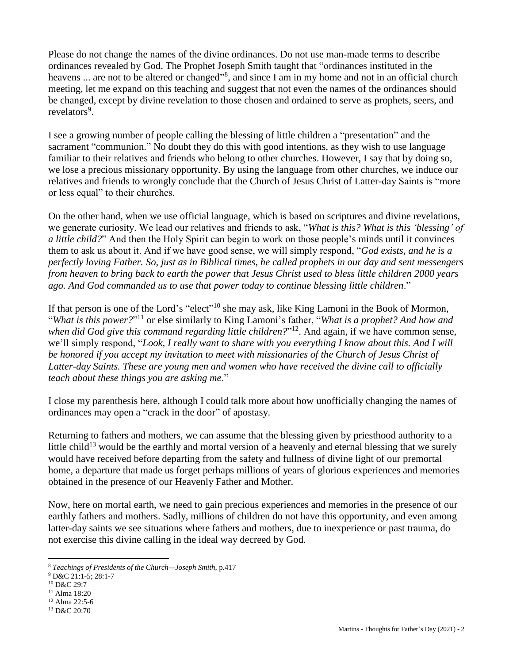Please do not change the names of the divine ordinances. Do not use man-made terms to describe ordinances revealed by God. The Prophet Joseph Smith taught that "ordinances instituted in the heavens ... are not to be altered or changed"<sup>8</sup>, and since I am in my home and not in an official church meeting, let me expand on this teaching and suggest that not even the names of the ordinances should be changed, except by divine revelation to those chosen and ordained to serve as prophets, seers, and revelators<sup>9</sup>.

I see a growing number of people calling the blessing of little children a "presentation" and the sacrament "communion." No doubt they do this with good intentions, as they wish to use language familiar to their relatives and friends who belong to other churches. However, I say that by doing so, we lose a precious missionary opportunity. By using the language from other churches, we induce our relatives and friends to wrongly conclude that the Church of Jesus Christ of Latter-day Saints is "more or less equal" to their churches.

On the other hand, when we use official language, which is based on scriptures and divine revelations, we generate curiosity. We lead our relatives and friends to ask, "*What is this? What is this 'blessing' of a little child?*" And then the Holy Spirit can begin to work on those people's minds until it convinces them to ask us about it. And if we have good sense, we will simply respond, "*God exists, and he is a perfectly loving Father. So, just as in Biblical times, he called prophets in our day and sent messengers from heaven to bring back to earth the power that Jesus Christ used to bless little children 2000 years ago. And God commanded us to use that power today to continue blessing little children*."

If that person is one of the Lord's "elect"<sup>10</sup> she may ask, like King Lamoni in the Book of Mormon, "*What is this power?*" <sup>11</sup> or else similarly to King Lamoni's father, "*What is a prophet? And how and when did God give this command regarding little children?*" <sup>12</sup>. And again, if we have common sense, we'll simply respond, "*Look, I really want to share with you everything I know about this. And I will*  be honored if you accept my invitation to meet with missionaries of the Church of Jesus Christ of *Latter-day Saints. These are young men and women who have received the divine call to officially teach about these things you are asking me*."

I close my parenthesis here, although I could talk more about how unofficially changing the names of ordinances may open a "crack in the door" of apostasy.

Returning to fathers and mothers, we can assume that the blessing given by priesthood authority to a little child<sup>13</sup> would be the earthly and mortal version of a heavenly and eternal blessing that we surely would have received before departing from the safety and fullness of divine light of our premortal home, a departure that made us forget perhaps millions of years of glorious experiences and memories obtained in the presence of our Heavenly Father and Mother.

Now, here on mortal earth, we need to gain precious experiences and memories in the presence of our earthly fathers and mothers. Sadly, millions of children do not have this opportunity, and even among latter-day saints we see situations where fathers and mothers, due to inexperience or past trauma, do not exercise this divine calling in the ideal way decreed by God.

 $\overline{a}$ 

- <sup>11</sup> Alma 18:20
- <sup>12</sup> Alma 22:5-6

<sup>8</sup> *Teachings of Presidents of the Church—Joseph Smith*, p.417

<sup>9</sup> D&C 21:1-5; 28:1-7

<sup>10</sup> D&C 29:7

<sup>13</sup> D&C 20:70